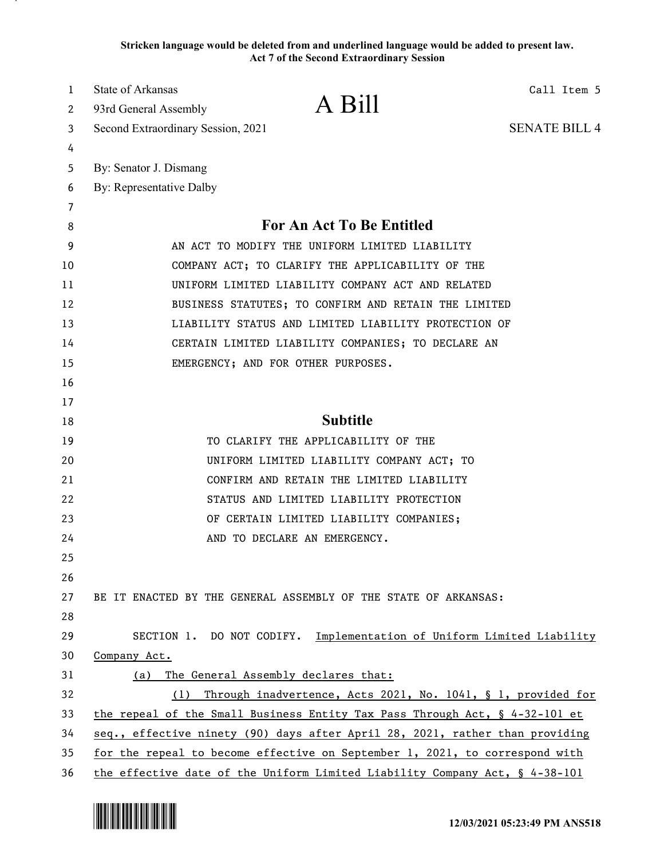**Stricken language would be deleted from and underlined language would be added to present law. Act 7 of the Second Extraordinary Session**

| 1  | <b>State of Arkansas</b><br>Call Item 5                                        |
|----|--------------------------------------------------------------------------------|
| 2  | A Bill<br>93rd General Assembly                                                |
| 3  | <b>SENATE BILL 4</b><br>Second Extraordinary Session, 2021                     |
| 4  |                                                                                |
| 5  | By: Senator J. Dismang                                                         |
| 6  | By: Representative Dalby                                                       |
| 7  |                                                                                |
| 8  | For An Act To Be Entitled                                                      |
| 9  | AN ACT TO MODIFY THE UNIFORM LIMITED LIABILITY                                 |
| 10 | COMPANY ACT; TO CLARIFY THE APPLICABILITY OF THE                               |
| 11 | UNIFORM LIMITED LIABILITY COMPANY ACT AND RELATED                              |
| 12 | BUSINESS STATUTES; TO CONFIRM AND RETAIN THE LIMITED                           |
| 13 | LIABILITY STATUS AND LIMITED LIABILITY PROTECTION OF                           |
| 14 | CERTAIN LIMITED LIABILITY COMPANIES; TO DECLARE AN                             |
| 15 | EMERGENCY; AND FOR OTHER PURPOSES.                                             |
| 16 |                                                                                |
| 17 |                                                                                |
| 18 | <b>Subtitle</b>                                                                |
| 19 | TO CLARIFY THE APPLICABILITY OF THE                                            |
| 20 | UNIFORM LIMITED LIABILITY COMPANY ACT; TO                                      |
| 21 | CONFIRM AND RETAIN THE LIMITED LIABILITY                                       |
| 22 | STATUS AND LIMITED LIABILITY PROTECTION                                        |
| 23 | OF CERTAIN LIMITED LIABILITY COMPANIES;                                        |
| 24 | AND TO DECLARE AN EMERGENCY.                                                   |
| 25 |                                                                                |
| 26 |                                                                                |
| 27 | BE IT ENACTED BY THE GENERAL ASSEMBLY OF THE STATE OF ARKANSAS:                |
| 28 |                                                                                |
| 29 | SECTION 1. DO NOT CODIFY. Implementation of Uniform Limited Liability          |
| 30 | Company Act.                                                                   |
| 31 | The General Assembly declares that:<br>(a)                                     |
| 32 | (1) Through inadvertence, Acts 2021, No. 1041, § 1, provided for               |
| 33 | the repeal of the Small Business Entity Tax Pass Through Act, $\S$ 4-32-101 et |
| 34 | seq., effective ninety (90) days after April 28, 2021, rather than providing   |
| 35 | for the repeal to become effective on September 1, 2021, to correspond with    |
| 36 | the effective date of the Uniform Limited Liability Company Act, § 4-38-101    |

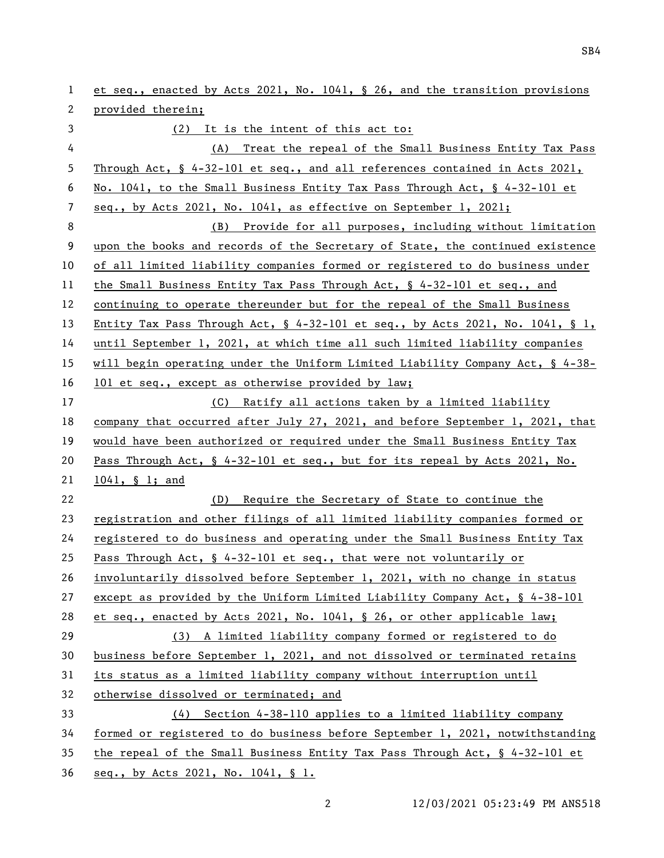et seq., enacted by Acts 2021, No. 1041, § 26, and the transition provisions provided therein; (2) It is the intent of this act to: (A) Treat the repeal of the Small Business Entity Tax Pass Through Act, § 4-32-101 et seq., and all references contained in Acts 2021, No. 1041, to the Small Business Entity Tax Pass Through Act, § 4-32-101 et seq., by Acts 2021, No. 1041, as effective on September 1, 2021; (B) Provide for all purposes, including without limitation upon the books and records of the Secretary of State, the continued existence of all limited liability companies formed or registered to do business under the Small Business Entity Tax Pass Through Act, § 4-32-101 et seq., and continuing to operate thereunder but for the repeal of the Small Business Entity Tax Pass Through Act, § 4-32-101 et seq., by Acts 2021, No. 1041, § 1, until September 1, 2021, at which time all such limited liability companies will begin operating under the Uniform Limited Liability Company Act, § 4-38- 101 et seq., except as otherwise provided by law; (C) Ratify all actions taken by a limited liability company that occurred after July 27, 2021, and before September 1, 2021, that would have been authorized or required under the Small Business Entity Tax Pass Through Act, § 4-32-101 et seq., but for its repeal by Acts 2021, No. 1041, § 1; and (D) Require the Secretary of State to continue the registration and other filings of all limited liability companies formed or registered to do business and operating under the Small Business Entity Tax Pass Through Act, § 4-32-101 et seq., that were not voluntarily or involuntarily dissolved before September 1, 2021, with no change in status except as provided by the Uniform Limited Liability Company Act, § 4-38-101 et seq., enacted by Acts 2021, No. 1041, § 26, or other applicable law; (3) A limited liability company formed or registered to do business before September 1, 2021, and not dissolved or terminated retains its status as a limited liability company without interruption until otherwise dissolved or terminated; and (4) Section 4-38-110 applies to a limited liability company formed or registered to do business before September 1, 2021, notwithstanding the repeal of the Small Business Entity Tax Pass Through Act, § 4-32-101 et seq., by Acts 2021, No. 1041, § 1.

12/03/2021 05:23:49 PM ANS518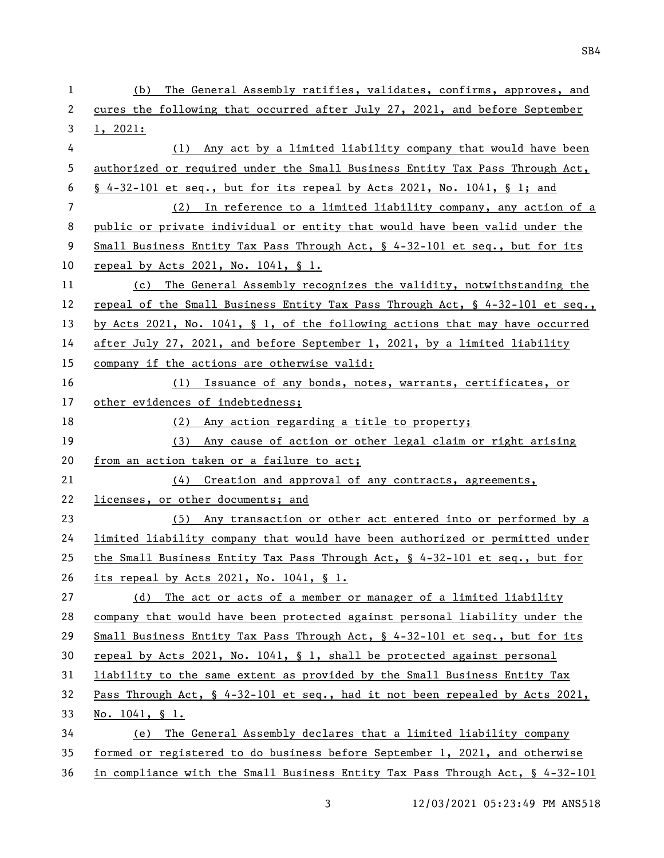| 1  | The General Assembly ratifies, validates, confirms, approves, and<br>(b)        |
|----|---------------------------------------------------------------------------------|
| 2  | cures the following that occurred after July 27, 2021, and before September     |
| 3  | 1, 2021:                                                                        |
| 4  | Any act by a limited liability company that would have been<br>(1)              |
| 5  | authorized or required under the Small Business Entity Tax Pass Through Act,    |
| 6  | $\S$ 4-32-101 et seq., but for its repeal by Acts 2021, No. 1041, $\S$ 1; and   |
| 7  | (2) In reference to a limited liability company, any action of a                |
| 8  | public or private individual or entity that would have been valid under the     |
| 9  | Small Business Entity Tax Pass Through Act, $\S$ 4-32-101 et seq., but for its  |
| 10 | repeal by Acts 2021, No. 1041, § 1.                                             |
| 11 | (c) The General Assembly recognizes the validity, notwithstanding the           |
| 12 | repeal of the Small Business Entity Tax Pass Through Act, § 4-32-101 et seq.,   |
| 13 | by Acts 2021, No. 1041, $\S$ 1, of the following actions that may have occurred |
| 14 | after July 27, 2021, and before September 1, 2021, by a limited liability       |
| 15 | company if the actions are otherwise valid:                                     |
| 16 | (1) Issuance of any bonds, notes, warrants, certificates, or                    |
| 17 | other evidences of indebtedness;                                                |
| 18 | (2) Any action regarding a title to property;                                   |
| 19 | (3) Any cause of action or other legal claim or right arising                   |
| 20 | from an action taken or a failure to act;                                       |
| 21 | (4) Creation and approval of any contracts, agreements,                         |
| 22 | licenses, or other documents; and                                               |
| 23 | (5) Any transaction or other act entered into or performed by a                 |
| 24 | limited liability company that would have been authorized or permitted under    |
| 25 | the Small Business Entity Tax Pass Through Act, § 4-32-101 et seq., but for     |
| 26 | its repeal by Acts 2021, No. 1041, § 1.                                         |
| 27 | The act or acts of a member or manager of a limited liability<br>(d)            |
| 28 | company that would have been protected against personal liability under the     |
| 29 | Small Business Entity Tax Pass Through Act, $\S$ 4-32-101 et seq., but for its  |
| 30 | repeal by Acts 2021, No. 1041, $\S$ 1, shall be protected against personal      |
| 31 | liability to the same extent as provided by the Small Business Entity Tax       |
| 32 | Pass Through Act, § 4-32-101 et seq., had it not been repealed by Acts 2021,    |
| 33 | No. $1041, \S 1.$                                                               |
| 34 | (e) The General Assembly declares that a limited liability company              |
| 35 | formed or registered to do business before September 1, 2021, and otherwise     |
| 36 | in compliance with the Small Business Entity Tax Pass Through Act, § 4-32-101   |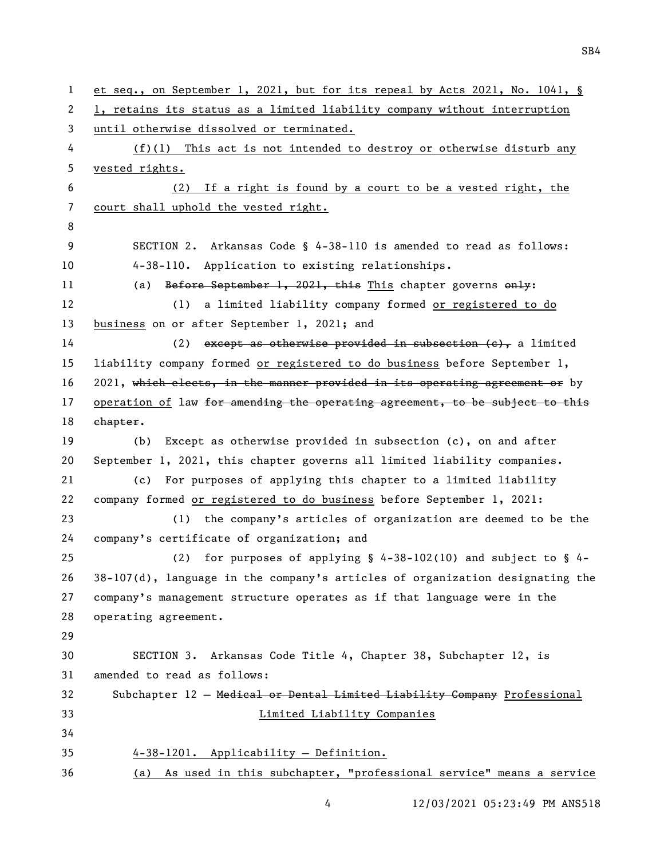```
1 et seq., on September 1, 2021, but for its repeal by Acts 2021, No. 1041, § 
 2 1, retains its status as a limited liability company without interruption 
3 until otherwise dissolved or terminated.
 4 (f)(1) This act is not intended to destroy or otherwise disturb any 
5 vested rights.
6 (2) If a right is found by a court to be a vested right, the 
7 court shall uphold the vested right.
8
9 SECTION 2. Arkansas Code § 4-38-110 is amended to read as follows:
10 4-38-110. Application to existing relationships.
11 (a) Before September 1, 2021, this This chapter governs only:
12 (1) a limited liability company formed or registered to do 
13 business on or after September 1, 2021; and
14 (2) except as otherwise provided in subsection (e), a limited
15 liability company formed or registered to do business before September 1, 
16 2021, which elects, in the manner provided in its operating agreement or by
17 operation of law for amending the operating agreement, to be subject to this
18 ehapter.
19 (b) Except as otherwise provided in subsection (c), on and after 
20 September 1, 2021, this chapter governs all limited liability companies.
21 (c) For purposes of applying this chapter to a limited liability 
22 company formed or registered to do business before September 1, 2021:
23 (1) the company's articles of organization are deemed to be the 
24 company's certificate of organization; and
25 (2) for purposes of applying § 4-38-102(10) and subject to § 4-
26 38-107(d), language in the company's articles of organization designating the 
27 company's management structure operates as if that language were in the 
28 operating agreement.
29
30 SECTION 3. Arkansas Code Title 4, Chapter 38, Subchapter 12, is 
31 amended to read as follows:
32 Subchapter 12 — Medical or Dental Limited Liability Company Professional 
33 Limited Liability Companies
34
35 4-38-1201. Applicability — Definition.
36 (a) As used in this subchapter, "professional service" means a service
```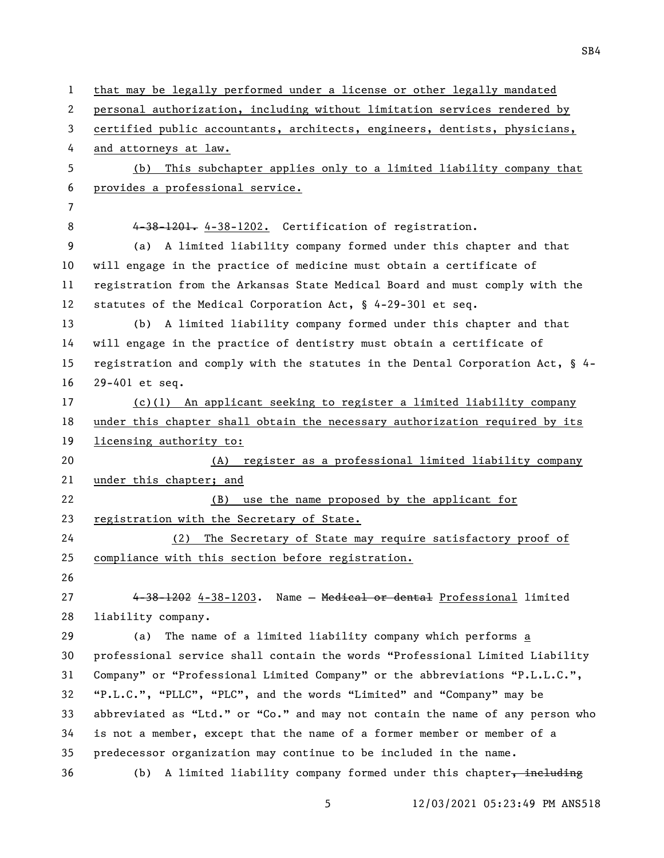that may be legally performed under a license or other legally mandated personal authorization, including without limitation services rendered by certified public accountants, architects, engineers, dentists, physicians, and attorneys at law. (b) This subchapter applies only to a limited liability company that provides a professional service. 8 4-38-1201. 4-38-1202. Certification of registration. (a) A limited liability company formed under this chapter and that will engage in the practice of medicine must obtain a certificate of registration from the Arkansas State Medical Board and must comply with the statutes of the Medical Corporation Act, § 4-29-301 et seq. (b) A limited liability company formed under this chapter and that will engage in the practice of dentistry must obtain a certificate of registration and comply with the statutes in the Dental Corporation Act, § 4- 29-401 et seq. (c)(1) An applicant seeking to register a limited liability company under this chapter shall obtain the necessary authorization required by its licensing authority to: (A) register as a professional limited liability company under this chapter; and (B) use the name proposed by the applicant for registration with the Secretary of State. (2) The Secretary of State may require satisfactory proof of compliance with this section before registration. 4-38-1202 4-38-1203. Name — Medical or dental Professional limited liability company. (a) The name of a limited liability company which performs a professional service shall contain the words "Professional Limited Liability Company" or "Professional Limited Company" or the abbreviations "P.L.L.C.", "P.L.C.", "PLLC", "PLC", and the words "Limited" and "Company" may be abbreviated as "Ltd." or "Co." and may not contain the name of any person who is not a member, except that the name of a former member or member of a predecessor organization may continue to be included in the name. 36 (b) A limited liability company formed under this chapter, including

12/03/2021 05:23:49 PM ANS518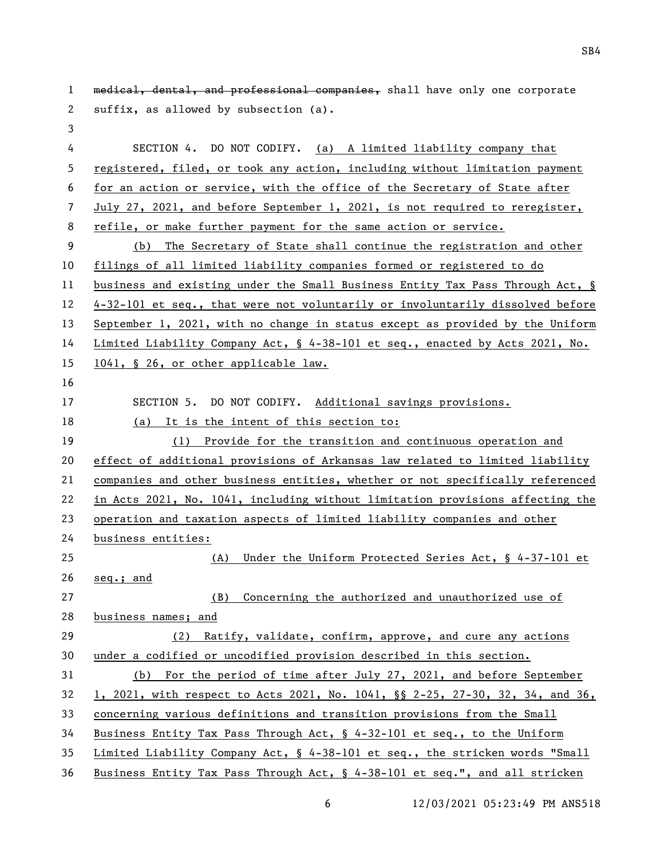| $\mathbf{1}$ | medical, dental, and professional companies, shall have only one corporate    |
|--------------|-------------------------------------------------------------------------------|
| 2            | suffix, as allowed by subsection (a).                                         |
| $\mathbf{3}$ |                                                                               |
| 4            | SECTION 4. DO NOT CODIFY. (a) A limited liability company that                |
| 5            | registered, filed, or took any action, including without limitation payment   |
| 6            | for an action or service, with the office of the Secretary of State after     |
| 7            | July 27, 2021, and before September 1, 2021, is not required to reregister,   |
| 8            | refile, or make further payment for the same action or service.               |
| 9            | The Secretary of State shall continue the registration and other<br>(b)       |
| 10           | filings of all limited liability companies formed or registered to do         |
| 11           | business and existing under the Small Business Entity Tax Pass Through Act, § |
| 12           | 4-32-101 et seq., that were not voluntarily or involuntarily dissolved before |
| 13           | September 1, 2021, with no change in status except as provided by the Uniform |
| 14           | Limited Liability Company Act, § 4-38-101 et seq., enacted by Acts 2021, No.  |
| 15           | 1041, § 26, or other applicable law.                                          |
| 16           |                                                                               |
| 17           | SECTION 5. DO NOT CODIFY. Additional savings provisions.                      |
| 18           | (a) It is the intent of this section to:                                      |
| 19           | (1) Provide for the transition and continuous operation and                   |
| 20           | effect of additional provisions of Arkansas law related to limited liability  |
| 21           | companies and other business entities, whether or not specifically referenced |
| 22           | in Acts 2021, No. 1041, including without limitation provisions affecting the |
| 23           | operation and taxation aspects of limited liability companies and other       |
| 24           | business entities:                                                            |
| 25           | (A) Under the Uniform Protected Series Act, § 4-37-101 et                     |
| 26           | seq.; and                                                                     |
| 27           | Concerning the authorized and unauthorized use of<br>(B)                      |
| 28           | business names; and                                                           |
| 29           | (2) Ratify, validate, confirm, approve, and cure any actions                  |
| 30           | under a codified or uncodified provision described in this section.           |
| 31           | (b) For the period of time after July 27, 2021, and before September          |
| 32           | 1, 2021, with respect to Acts 2021, No. 1041, §§ 2-25, 27-30, 32, 34, and 36, |
| 33           | concerning various definitions and transition provisions from the Small       |
| 34           | Business Entity Tax Pass Through Act, § 4-32-101 et seq., to the Uniform      |
| 35           | Limited Liability Company Act, § 4-38-101 et seq., the stricken words "Small  |
| 36           | Business Entity Tax Pass Through Act, § 4-38-101 et seq.", and all stricken   |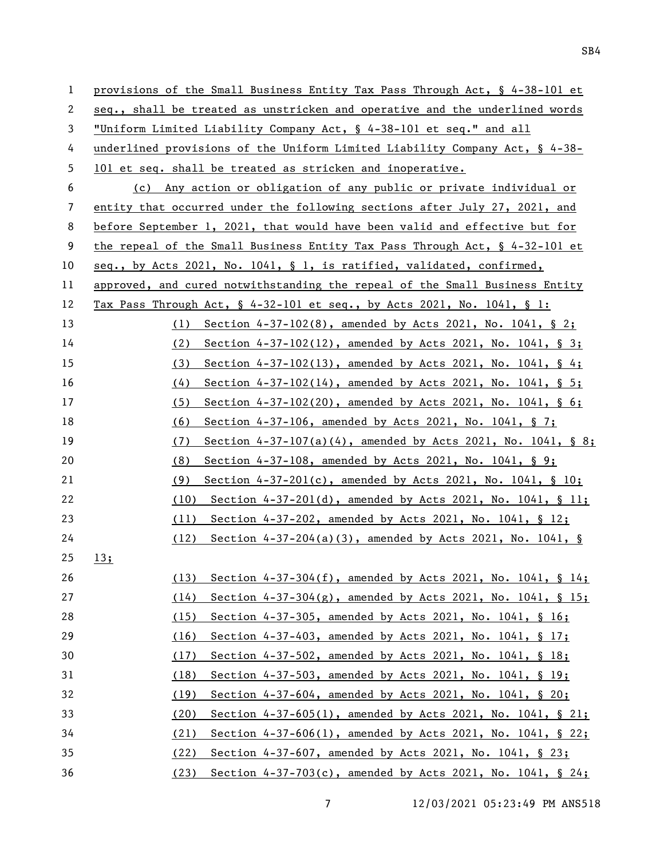| $\mathbf{1}$ | provisions of the Small Business Entity Tax Pass Through Act, § 4-38-101 et    |
|--------------|--------------------------------------------------------------------------------|
| 2            | seq., shall be treated as unstricken and operative and the underlined words    |
| 3            | "Uniform Limited Liability Company Act, § 4-38-101 et seq." and all            |
| 4            | underlined provisions of the Uniform Limited Liability Company Act, $\S$ 4-38- |
| 5            | 101 et seq. shall be treated as stricken and inoperative.                      |
| 6            | (c) Any action or obligation of any public or private individual or            |
| 7            | entity that occurred under the following sections after July 27, 2021, and     |
| 8            | before September 1, 2021, that would have been valid and effective but for     |
| 9            | the repeal of the Small Business Entity Tax Pass Through Act, $\S$ 4-32-101 et |
| 10           | seq., by Acts 2021, No. 1041, § 1, is ratified, validated, confirmed,          |
| 11           | approved, and cured notwithstanding the repeal of the Small Business Entity    |
| 12           | Tax Pass Through Act, $\S$ 4-32-101 et seq., by Acts 2021, No. 1041, $\S$ 1:   |
| 13           | (1) Section $4-37-102(8)$ , amended by Acts 2021, No. 1041, § 2;               |
| 14           | Section 4-37-102(12), amended by Acts 2021, No. 1041, § 3;<br>(2)              |
| 15           | Section $4-37-102(13)$ , amended by Acts 2021, No. 1041, § 4;<br>(3)           |
| 16           | Section $4-37-102(14)$ , amended by Acts 2021, No. 1041, § 5;<br>(4)           |
| 17           | Section $4-37-102(20)$ , amended by Acts 2021, No. 1041, § 6;<br>(5)           |
| 18           | Section 4-37-106, amended by Acts 2021, No. 1041, § 7;<br>(6)                  |
| 19           | Section $4-37-107(a)(4)$ , amended by Acts 2021, No. 1041, § 8;<br>(7)         |
| 20           | Section 4-37-108, amended by Acts 2021, No. 1041, § 9;<br>(8)                  |
| 21           | Section $4-37-201(c)$ , amended by Acts 2021, No. 1041, § 10;<br>(9)           |
| 22           | Section $4-37-201(d)$ , amended by Acts 2021, No. 1041, § 11;<br>(10)          |
| 23           | (11) Section $4-37-202$ , amended by Acts 2021, No. 1041, § 12;                |
| 24           | Section $4-37-204(a)(3)$ , amended by Acts 2021, No. 1041, §<br>(12)           |
| 25           | 13;                                                                            |
| 26           | Section $4-37-304(f)$ , amended by Acts 2021, No. 1041, § 14;<br>(13)          |
| 27           | Section 4-37-304(g), amended by Acts 2021, No. 1041, § 15;<br>(14)             |
| 28           | Section 4-37-305, amended by Acts 2021, No. 1041, § 16;<br>(15)                |
| 29           | Section 4-37-403, amended by Acts 2021, No. 1041, § 17;<br>(16)                |
| 30           | Section 4-37-502, amended by Acts 2021, No. 1041, § 18;<br>(17)                |
| 31           | Section 4-37-503, amended by Acts 2021, No. 1041, § 19;<br>(18)                |
| 32           | Section 4-37-604, amended by Acts 2021, No. 1041, § 20;<br>(19)                |
| 33           | Section 4-37-605(1), amended by Acts 2021, No. 1041, § 21;<br>(20)             |
| 34           | Section 4-37-606(1), amended by Acts 2021, No. 1041, § 22;<br>(21)             |
| 35           | Section 4-37-607, amended by Acts 2021, No. 1041, § 23;<br>(22)                |
| 36           | (23) Section 4-37-703(c), amended by Acts 2021, No. 1041, § 24;                |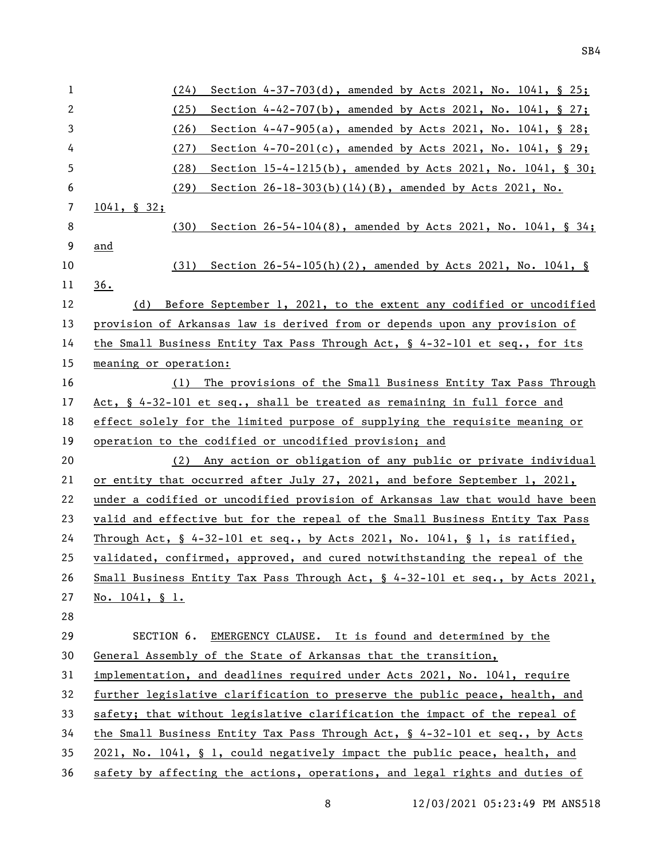| $\mathbf{1}$   | Section 4-37-703(d), amended by Acts 2021, No. 1041, § 25;<br>(24)                                 |
|----------------|----------------------------------------------------------------------------------------------------|
| $\mathbf{2}$   | (25)<br>Section 4-42-707(b), amended by Acts 2021, No. 1041, § 27;                                 |
| 3              | (26)<br>Section 4-47-905(a), amended by Acts 2021, No. 1041, § 28;                                 |
| 4              | (27)<br>Section $4-70-201(c)$ , amended by Acts 2021, No. 1041, § 29;                              |
| 5              | (28)<br>Section $15-4-1215(b)$ , amended by Acts 2021, No. 1041, § 30;                             |
| 6              | Section 26-18-303(b)(14)(B), amended by Acts 2021, No.<br>(29)                                     |
| $\overline{7}$ | $1041, \S 32;$                                                                                     |
| 8              | Section $26-54-104(8)$ , amended by Acts 2021, No. 1041, § 34;<br>(30)                             |
| 9              | and                                                                                                |
| 10             | Section $26-54-105(h)(2)$ , amended by Acts 2021, No. 1041, §<br>(31)                              |
| 11             | 36.                                                                                                |
| 12             | (d) Before September 1, 2021, to the extent any codified or uncodified                             |
| 13             | provision of Arkansas law is derived from or depends upon any provision of                         |
| 14             | the Small Business Entity Tax Pass Through Act, § 4-32-101 et seq., for its                        |
| 15             | <u>meaning or operation:</u>                                                                       |
| 16             | The provisions of the Small Business Entity Tax Pass Through<br>(1)                                |
| 17             | Act, § 4-32-101 et seq., shall be treated as remaining in full force and                           |
| 18             | effect solely for the limited purpose of supplying the requisite meaning or                        |
| 19             | operation to the codified or uncodified provision; and                                             |
| 20             | (2) Any action or obligation of any public or private individual                                   |
| 21             | or entity that occurred after July 27, 2021, and before September 1, 2021,                         |
| 22             | under a codified or uncodified provision of Arkansas law that would have been                      |
| 23             | valid and effective but for the repeal of the Small Business Entity Tax Pass                       |
| 24             | Through Act, $\frac{6}{5}$ 4-32-101 et seq., by Acts 2021, No. 1041, $\frac{6}{5}$ 1, is ratified, |
| 25             | validated, confirmed, approved, and cured notwithstanding the repeal of the                        |
| 26             | Small Business Entity Tax Pass Through Act, § 4-32-101 et seq., by Acts 2021,                      |
| 27             | No. $1041, \S 1.$                                                                                  |
| 28             |                                                                                                    |
| 29             | SECTION 6.<br>EMERGENCY CLAUSE. It is found and determined by the                                  |
| 30             | General Assembly of the State of Arkansas that the transition,                                     |
| 31             | implementation, and deadlines required under Acts 2021, No. 1041, require                          |
| 32             | further legislative clarification to preserve the public peace, health, and                        |
| 33             | safety; that without legislative clarification the impact of the repeal of                         |
| 34             | the Small Business Entity Tax Pass Through Act, § 4-32-101 et seq., by Acts                        |
| 35             | 2021, No. 1041, § 1, could negatively impact the public peace, health, and                         |
| 36             | safety by affecting the actions, operations, and legal rights and duties of                        |